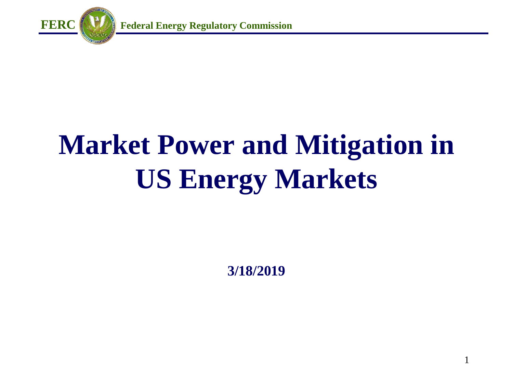

# **Market Power and Mitigation in US Energy Markets**

**3/18/2019**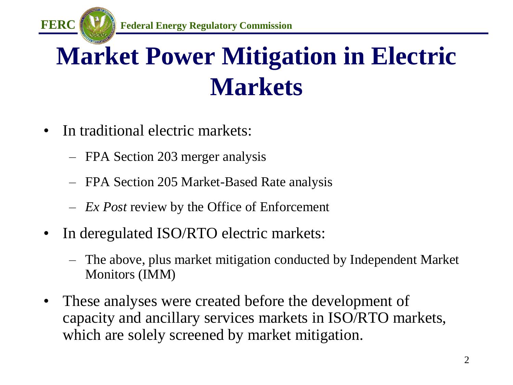

## **Market Power Mitigation in Electric Markets**

- In traditional electric markets:
	- FPA Section 203 merger analysis
	- FPA Section 205 Market-Based Rate analysis
	- *Ex Post* review by the Office of Enforcement
- In deregulated ISO/RTO electric markets:
	- The above, plus market mitigation conducted by Independent Market Monitors (IMM)
- These analyses were created before the development of capacity and ancillary services markets in ISO/RTO markets, which are solely screened by market mitigation.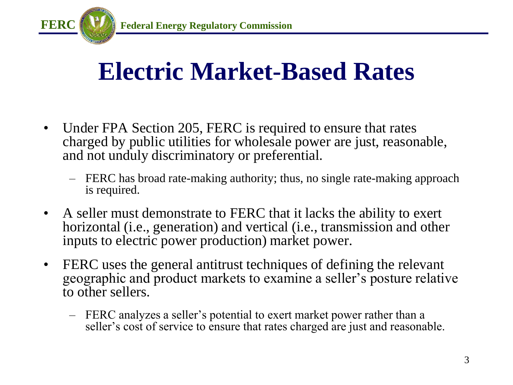

#### **Electric Market-Based Rates**

- Under FPA Section 205, FERC is required to ensure that rates charged by public utilities for wholesale power are just, reasonable, and not unduly discriminatory or preferential.
	- FERC has broad rate-making authority; thus, no single rate-making approach is required.
- A seller must demonstrate to FERC that it lacks the ability to exert horizontal (i.e., generation) and vertical (i.e., transmission and other inputs to electric power production) market power.
- FERC uses the general antitrust techniques of defining the relevant geographic and product markets to examine a seller's posture relative to other sellers.
	- FERC analyzes a seller's potential to exert market power rather than a seller's cost of service to ensure that rates charged are just and reasonable.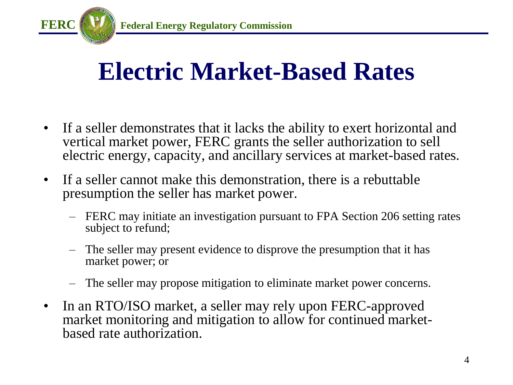

#### **Electric Market-Based Rates**

- If a seller demonstrates that it lacks the ability to exert horizontal and vertical market power, FERC grants the seller authorization to sell electric energy, capacity, and ancillary services at market-based rates.
- If a seller cannot make this demonstration, there is a rebuttable presumption the seller has market power.
	- FERC may initiate an investigation pursuant to FPA Section 206 setting rates subject to refund;
	- The seller may present evidence to disprove the presumption that it has market power; or
	- The seller may propose mitigation to eliminate market power concerns.
- In an RTO/ISO market, a seller may rely upon FERC-approved market monitoring and mitigation to allow for continued marketbased rate authorization.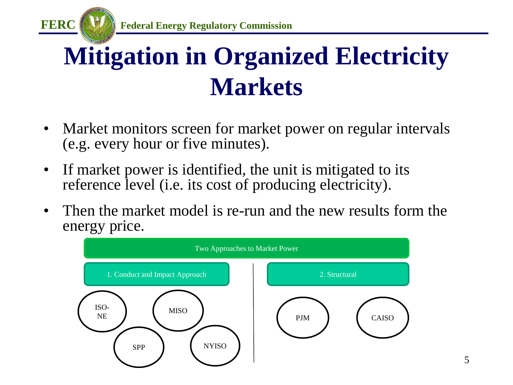

## **Mitigation in Organized Electricity Markets**

- Market monitors screen for market power on regular intervals (e.g. every hour or five minutes).
- If market power is identified, the unit is mitigated to its reference level (i.e. its cost of producing electricity).
- Then the market model is re-run and the new results form the energy price.

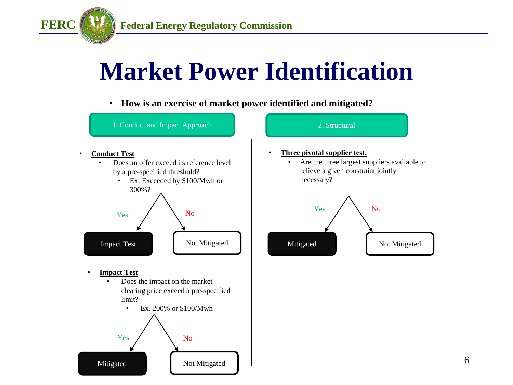

#### **Market Power Identification**

• **How is an exercise of market power identified and mitigated?**

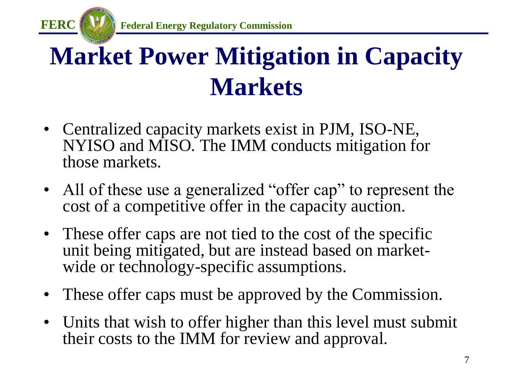

## **Market Power Mitigation in Capacity Markets**

- Centralized capacity markets exist in PJM, ISO-NE, NYISO and MISO. The IMM conducts mitigation for those markets.
- All of these use a generalized "offer cap" to represent the cost of a competitive offer in the capacity auction.
- These offer caps are not tied to the cost of the specific unit being mitigated, but are instead based on marketwide or technology-specific assumptions.
- These offer caps must be approved by the Commission.
- Units that wish to offer higher than this level must submit their costs to the IMM for review and approval.